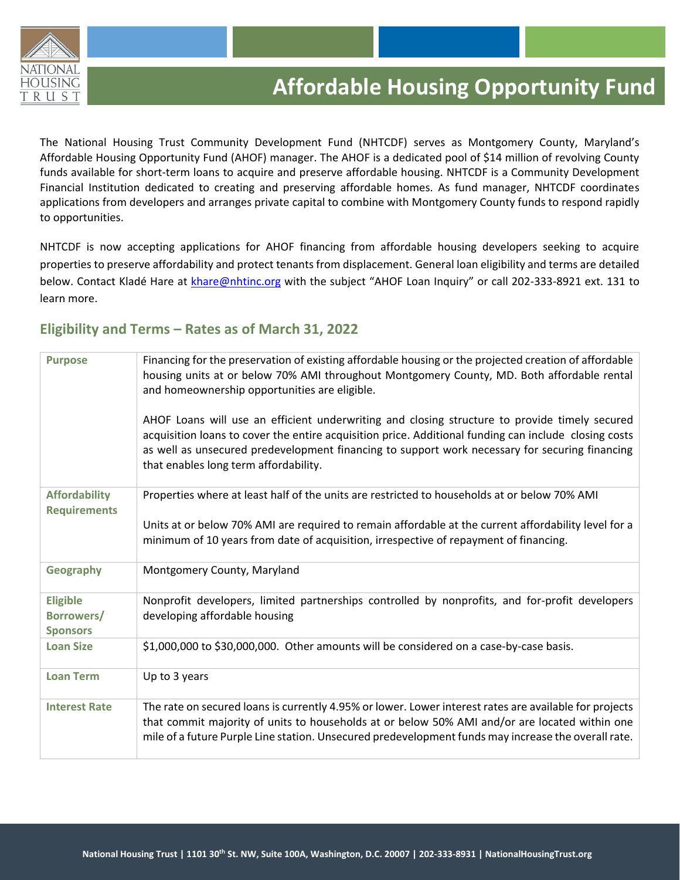

The National Housing Trust Community Development Fund (NHTCDF) serves as Montgomery County, Maryland's Affordable Housing Opportunity Fund (AHOF) manager. The AHOF is a dedicated pool of \$14 million of revolving County funds available for short-term loans to acquire and preserve affordable housing. NHTCDF is a Community Development Financial Institution dedicated to creating and preserving affordable homes. As fund manager, NHTCDF coordinates applications from developers and arranges private capital to combine with Montgomery County funds to respond rapidly to opportunities.

NHTCDF is now accepting applications for AHOF financing from affordable housing developers seeking to acquire properties to preserve affordability and protect tenants from displacement. General loan eligibility and terms are detailed below. Contact Kladé Hare at [khare@nhtinc.org](mailto:khare@nhtinc.org) with the subject "AHOF Loan Inquiry" or call 202-333-8921 ext. 131 to learn more.

# **Eligibility and Terms – Rates as of March 31, 2022**

| <b>Purpose</b>                                   | Financing for the preservation of existing affordable housing or the projected creation of affordable<br>housing units at or below 70% AMI throughout Montgomery County, MD. Both affordable rental<br>and homeownership opportunities are eligible.                                                                                              |
|--------------------------------------------------|---------------------------------------------------------------------------------------------------------------------------------------------------------------------------------------------------------------------------------------------------------------------------------------------------------------------------------------------------|
|                                                  | AHOF Loans will use an efficient underwriting and closing structure to provide timely secured<br>acquisition loans to cover the entire acquisition price. Additional funding can include closing costs<br>as well as unsecured predevelopment financing to support work necessary for securing financing<br>that enables long term affordability. |
| <b>Affordability</b><br><b>Requirements</b>      | Properties where at least half of the units are restricted to households at or below 70% AMI                                                                                                                                                                                                                                                      |
|                                                  | Units at or below 70% AMI are required to remain affordable at the current affordability level for a<br>minimum of 10 years from date of acquisition, irrespective of repayment of financing.                                                                                                                                                     |
| Geography                                        | Montgomery County, Maryland                                                                                                                                                                                                                                                                                                                       |
| <b>Eligible</b><br>Borrowers/<br><b>Sponsors</b> | Nonprofit developers, limited partnerships controlled by nonprofits, and for-profit developers<br>developing affordable housing                                                                                                                                                                                                                   |
| <b>Loan Size</b>                                 | \$1,000,000 to \$30,000,000. Other amounts will be considered on a case-by-case basis.                                                                                                                                                                                                                                                            |
| <b>Loan Term</b>                                 | Up to 3 years                                                                                                                                                                                                                                                                                                                                     |
| <b>Interest Rate</b>                             | The rate on secured loans is currently 4.95% or lower. Lower interest rates are available for projects<br>that commit majority of units to households at or below 50% AMI and/or are located within one<br>mile of a future Purple Line station. Unsecured predevelopment funds may increase the overall rate.                                    |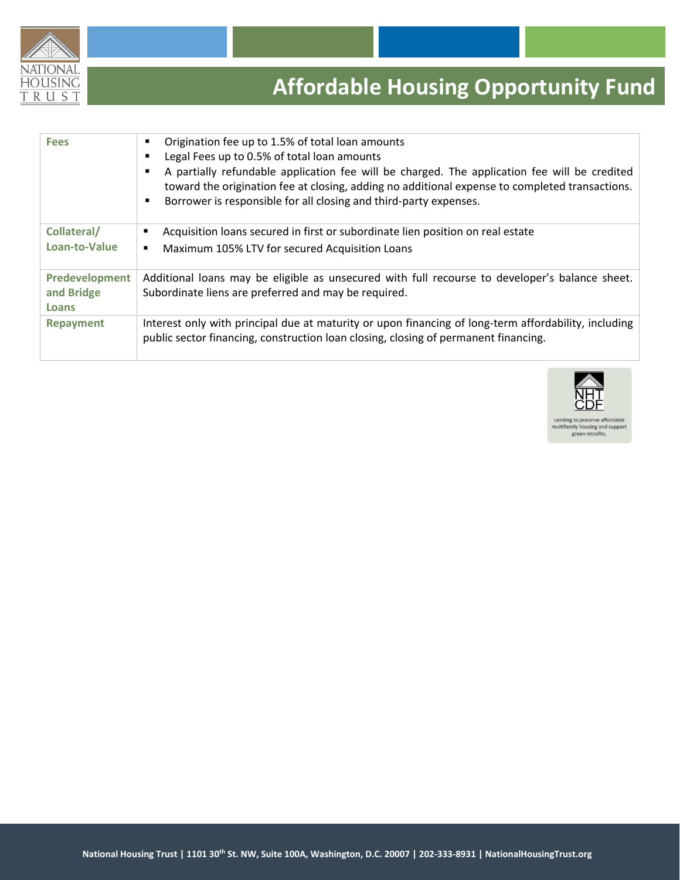

| <b>Fees</b>    | Origination fee up to 1.5% of total loan amounts<br>Legal Fees up to 0.5% of total loan amounts<br>٠<br>A partially refundable application fee will be charged. The application fee will be credited<br>п<br>toward the origination fee at closing, adding no additional expense to completed transactions.<br>Borrower is responsible for all closing and third-party expenses. |
|----------------|----------------------------------------------------------------------------------------------------------------------------------------------------------------------------------------------------------------------------------------------------------------------------------------------------------------------------------------------------------------------------------|
| Collateral/    | Acquisition loans secured in first or subordinate lien position on real estate                                                                                                                                                                                                                                                                                                   |
| Loan-to-Value  | Maximum 105% LTV for secured Acquisition Loans<br>٠                                                                                                                                                                                                                                                                                                                              |
| Predevelopment | Additional loans may be eligible as unsecured with full recourse to developer's balance sheet.                                                                                                                                                                                                                                                                                   |
| and Bridge     | Subordinate liens are preferred and may be required.                                                                                                                                                                                                                                                                                                                             |
| <b>Loans</b>   |                                                                                                                                                                                                                                                                                                                                                                                  |
| Repayment      | Interest only with principal due at maturity or upon financing of long-term affordability, including<br>public sector financing, construction loan closing, closing of permanent financing.                                                                                                                                                                                      |

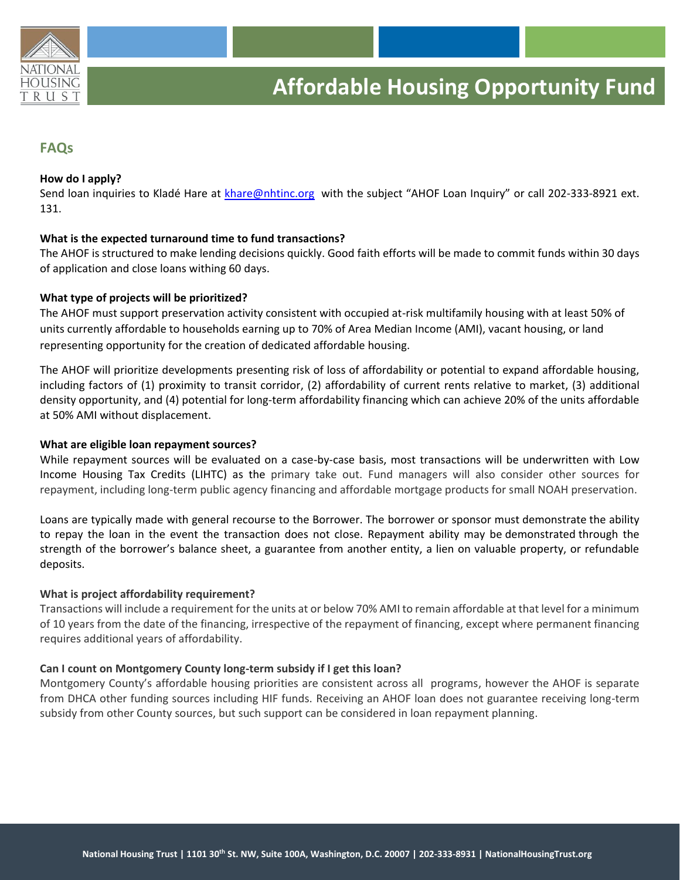

## **FAQs**

## **How do I apply?**

Send loan inquiries to Kladé Hare at [khare@nhtinc.org](mailto:khare@nhtinc.org) with the subject "AHOF Loan Inquiry" or call 202-333-8921 ext. 131.

#### **What is the expected turnaround time to fund transactions?**

The AHOF is structured to make lending decisions quickly. Good faith efforts will be made to commit funds within 30 days of application and close loans withing 60 days.

#### **What type of projects will be prioritized?**

The AHOF must support preservation activity consistent with occupied at-risk multifamily housing with at least 50% of units currently affordable to households earning up to 70% of Area Median Income (AMI), vacant housing, or land representing opportunity for the creation of dedicated affordable housing.

The AHOF will prioritize developments presenting risk of loss of affordability or potential to expand affordable housing, including factors of (1) proximity to transit corridor, (2) affordability of current rents relative to market, (3) additional density opportunity, and (4) potential for long-term affordability financing which can achieve 20% of the units affordable at 50% AMI without displacement.

#### **What are eligible loan repayment sources?**

While repayment sources will be evaluated on a case-by-case basis, most transactions will be underwritten with Low Income Housing Tax Credits (LIHTC) as the primary take out. Fund managers will also consider other sources for repayment, including long-term public agency financing and affordable mortgage products for small NOAH preservation.

Loans are typically made with general recourse to the Borrower. The borrower or sponsor must demonstrate the ability to repay the loan in the event the transaction does not close. Repayment ability may be demonstrated through the strength of the borrower's balance sheet, a guarantee from another entity, a lien on valuable property, or refundable deposits.

## **What is project affordability requirement?**

Transactions will include a requirement for the units at or below 70% AMI to remain affordable at that level for a minimum of 10 years from the date of the financing, irrespective of the repayment of financing, except where permanent financing requires additional years of affordability.

## **Can I count on Montgomery County long-term subsidy if I get this loan?**

Montgomery County's affordable housing priorities are consistent across all programs, however the AHOF is separate from DHCA other funding sources including HIF funds. Receiving an AHOF loan does not guarantee receiving long-term subsidy from other County sources, but such support can be considered in loan repayment planning.